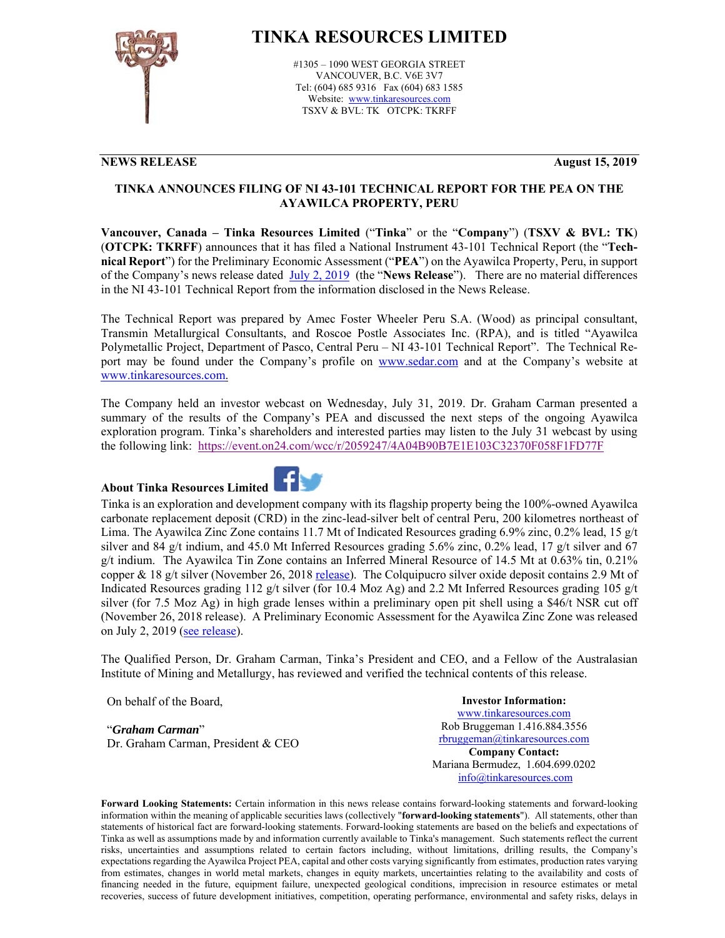

## **TINKA RESOURCES LIMITED**

#1305 – 1090 WEST GEORGIA STREET VANCOUVER, B.C. V6E 3V7 Tel: (604) 685 9316 Fax (604) 683 1585 Website: www.tinkaresources.com TSXV & BVL: TK OTCPK: TKRFF

## **NEWS RELEASE August 15, 2019**

## **TINKA ANNOUNCES FILING OF NI 43-101 TECHNICAL REPORT FOR THE PEA ON THE AYAWILCA PROPERTY, PERU**

**Vancouver, Canada – Tinka Resources Limited** ("**Tinka**" or the "**Company**") (**TSXV & BVL: TK**) (**OTCPK: TKRFF**) announces that it has filed a National Instrument 43-101 Technical Report (the "**Technical Report**") for the Preliminary Economic Assessment ("**PEA**") on the Ayawilca Property, Peru, in support of the Company's news release dated July 2, 2019 (the "**News Release**"). There are no material differences in the NI 43-101 Technical Report from the information disclosed in the News Release.

The Technical Report was prepared by Amec Foster Wheeler Peru S.A. (Wood) as principal consultant, Transmin Metallurgical Consultants, and Roscoe Postle Associates Inc. (RPA), and is titled "Ayawilca Polymetallic Project, Department of Pasco, Central Peru – NI 43-101 Technical Report". The Technical Report may be found under the Company's profile on www.sedar.com and at the Company's website at www.tinkaresources.com.

The Company held an investor webcast on Wednesday, July 31, 2019. Dr. Graham Carman presented a summary of the results of the Company's PEA and discussed the next steps of the ongoing Ayawilca exploration program. Tinka's shareholders and interested parties may listen to the July 31 webcast by using the following link: https://event.on24.com/wcc/r/2059247/4A04B90B7E1E103C32370F058F1FD77F

## **About Tinka Resources Limited**



Tinka is an exploration and development company with its flagship property being the 100%-owned Ayawilca carbonate replacement deposit (CRD) in the zinc-lead-silver belt of central Peru, 200 kilometres northeast of Lima. The Ayawilca Zinc Zone contains 11.7 Mt of Indicated Resources grading 6.9% zinc, 0.2% lead, 15 g/t silver and 84 g/t indium, and 45.0 Mt Inferred Resources grading 5.6% zinc, 0.2% lead, 17 g/t silver and 67 g/t indium. The Ayawilca Tin Zone contains an Inferred Mineral Resource of 14.5 Mt at 0.63% tin, 0.21% copper & 18 g/t silver (November 26, 2018 release). The Colquipucro silver oxide deposit contains 2.9 Mt of Indicated Resources grading 112 g/t silver (for 10.4 Moz Ag) and 2.2 Mt Inferred Resources grading 105 g/t silver (for 7.5 Moz Ag) in high grade lenses within a preliminary open pit shell using a \$46/t NSR cut off (November 26, 2018 release). A Preliminary Economic Assessment for the Ayawilca Zinc Zone was released on July 2, 2019 (see release).

The Qualified Person, Dr. Graham Carman, Tinka's President and CEO, and a Fellow of the Australasian Institute of Mining and Metallurgy, has reviewed and verified the technical contents of this release.

On behalf of the Board,

"*Graham Carman*" Dr. Graham Carman, President & CEO

**Investor Information:**  www.tinkaresources.com Rob Bruggeman 1.416.884.3556 rbruggeman@tinkaresources.com **Company Contact:** Mariana Bermudez, 1.604.699.0202 info@tinkaresources.com

**Forward Looking Statements:** Certain information in this news release contains forward-looking statements and forward-looking information within the meaning of applicable securities laws (collectively "**forward-looking statements**"). All statements, other than statements of historical fact are forward-looking statements. Forward-looking statements are based on the beliefs and expectations of Tinka as well as assumptions made by and information currently available to Tinka's management. Such statements reflect the current risks, uncertainties and assumptions related to certain factors including, without limitations, drilling results, the Company's expectations regarding the Ayawilca Project PEA, capital and other costs varying significantly from estimates, production rates varying from estimates, changes in world metal markets, changes in equity markets, uncertainties relating to the availability and costs of financing needed in the future, equipment failure, unexpected geological conditions, imprecision in resource estimates or metal recoveries, success of future development initiatives, competition, operating performance, environmental and safety risks, delays in